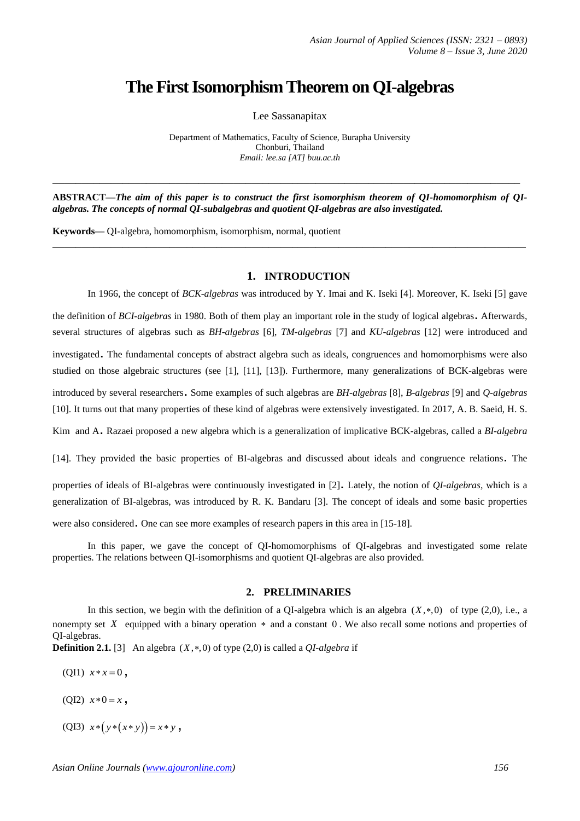# **The First Isomorphism Theorem on QI-algebras**

Lee Sassanapitax

Department of Mathematics, Faculty of Science, Burapha University Chonburi, Thailand *Email: lee.sa [AT] buu.ac.th*

**ABSTRACT—***The aim of this paper is to construct the first isomorphism theorem of QI-homomorphism of QIalgebras. The concepts of normal QI-subalgebras and quotient QI-algebras are also investigated.*

**\_\_\_\_\_\_\_\_\_\_\_\_\_\_\_\_\_\_\_\_\_\_\_\_\_\_\_\_\_\_\_\_\_\_\_\_\_\_\_\_\_\_\_\_\_\_\_\_\_\_\_\_\_\_\_\_\_\_\_\_\_\_\_\_\_\_\_\_\_\_\_\_\_\_\_\_\_\_\_\_\_**

**\_\_\_\_\_\_\_\_\_\_\_\_\_\_\_\_\_\_\_\_\_\_\_\_\_\_\_\_\_\_\_\_\_\_\_\_\_\_\_\_\_\_\_\_\_\_\_\_\_\_\_\_\_\_\_\_\_\_\_\_\_\_\_\_\_\_\_\_\_\_\_\_\_\_\_\_\_\_\_\_**

**Keywords—** QI-algebra, homomorphism, isomorphism, normal, quotient

# **1. INTRODUCTION**

In 1966, the concept of *BCK-algebras* was introduced by Y. Imai and K. Iseki [4]. Moreover, K. Iseki [5] gave the definition of *BCI-algebras* in 1980. Both of them play an important role in the study of logical algebras. Afterwards, several structures of algebras such as *BH-algebras* [6], *TM-algebras* [7] and *KU-algebras* [12] were introduced and investigated. The fundamental concepts of abstract algebra such as ideals, congruences and homomorphisms were also studied on those algebraic structures (see [1], [11], [13]). Furthermore, many generalizations of BCK-algebras were

introduced by several researchers. Some examples of such algebras are *BH-algebras* [8], *B-algebras* [9] and *Q-algebras* [10]. It turns out that many properties of these kind of algebras were extensively investigated. In 2017, A. B. Saeid, H. S.

Kim and A. Razaei proposed a new algebra which is a generalization of implicative BCK-algebras, called a *BI-algebra*

[14]. They provided the basic properties of BI-algebras and discussed about ideals and congruence relations. The

properties of ideals of BI-algebras were continuously investigated in [2]. Lately, the notion of *QI-algebras*, which is <sup>a</sup> generalization of BI-algebras, was introduced by R. K. Bandaru [3]. The concept of ideals and some basic properties were also considered. One can see more examples of research papers in this area in [15-18].

In this paper, we gave the concept of QI-homomorphisms of QI-algebras and investigated some relate properties. The relations between QI-isomorphisms and quotient QI-algebras are also provided.

## **2. PRELIMINARIES**

In this section, we begin with the definition of a QI-algebra which is an algebra  $(X, *, 0)$  of type  $(2, 0)$ , i.e., a nonempty set  $X$  equipped with a binary operation  $*$  and a constant  $0$ . We also recall some notions and properties of QI-algebras.

**Definition 2.1.** [3] An algebra  $(X, *, 0)$  of type  $(2, 0)$  is called a *QI-algebra* if

- (QI1)  $x * x = 0$ ,
- (QI2)  $x * 0 = x$ ,
- $(QI3)$   $x * (y * (x * y)) = x * y$ ,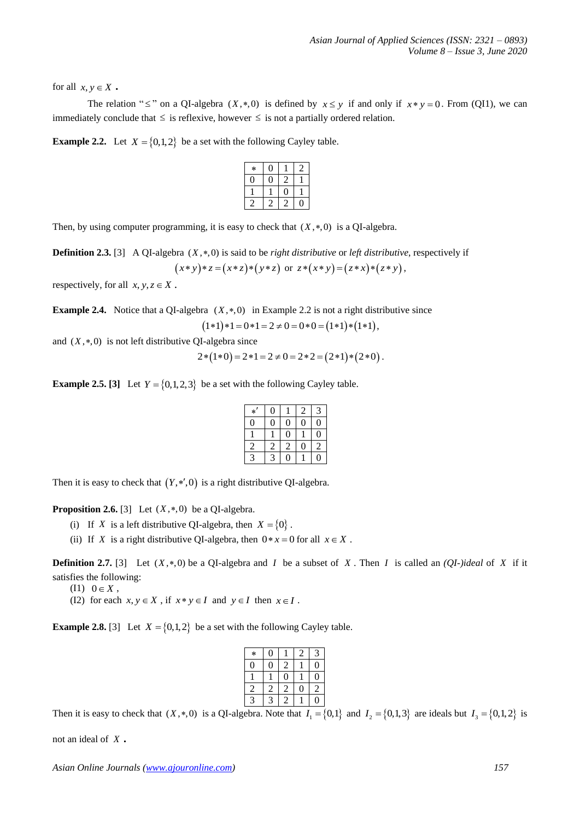for all  $x, y \in X$ .

The relation " $\leq$ " on a QI-algebra (X,\*,0) is defined by  $x \leq y$  if and only if  $x * y = 0$ . From (QI1), we can immediately conclude that  $\leq$  is reflexive, however  $\leq$  is not a partially ordered relation.

**Example 2.2.** Let  $X = \{0,1,2\}$  be a set with the following Cayley table.

| $\ast$ |   |  |
|--------|---|--|
| U      | 2 |  |
|        | ۱ |  |
|        |   |  |

Then, by using computer programming, it is easy to check that  $(X, *, 0)$  is a QI-algebra.

**Definition 2.3.** [3] A QI-algebra  $(X, *,0)$  is said to be *right distributive* or *left distributive*, respectively if  $(x * y) * z = (x * z) * (y * z)$  or  $z * (x * y) = (z * x) * (z * y)$ ,

respectively, for all  $x, y, z \in X$ .

**Example 2.4.** Notice that a QI-algebra  $(X, *, 0)$  in Example 2.2 is not a right distributive since  $(1 \cdot 1) \cdot 1 = 0 \cdot 1 = 2 \neq 0 = 0 \cdot 0 = (1 \cdot 1) \cdot (1 \cdot 1),$ 

and  $(X,*,0)$  is not left distributive QI-algebra since

$$
2*(1*0) = 2*1 = 2 \neq 0 = 2*2 = (2*1)*(2*0).
$$

**Example 2.5. [3]** Let  $Y = \{0, 1, 2, 3\}$  be a set with the following Cayley table.

| $\ast$         | 0 |                | 2              | 3              |
|----------------|---|----------------|----------------|----------------|
| $\Omega$       | 0 | 0              | $\overline{0}$ | $\overline{0}$ |
|                |   | $\overline{0}$ |                | $\overline{0}$ |
| $\sqrt{2}$     | 2 | $\overline{2}$ | $\overline{0}$ | $\overline{2}$ |
| $\overline{3}$ | 3 | O              |                | 0              |

Then it is easy to check that  $(Y, *, 0)$  is a right distributive QI-algebra.

**Proposition 2.6.** [3] Let  $(X, *, 0)$  be a QI-algebra.

- (i) If X is a left distributive QI-algebra, then  $X = \{0\}$ .
- (ii) If X is a right distributive QI-algebra, then  $0 * x = 0$  for all  $x \in X$ .

**Definition 2.7.** [3] Let  $(X, *, 0)$  be a QI-algebra and *I* be a subset of X. Then *I* is called an *(QI-)ideal* of X if it satisfies the following:

- $(11) 0 \in X$ ,
- (I2) for each  $x, y \in X$ , if  $x * y \in I$  and  $y \in I$  then  $x \in I$ .

**Example 2.8.** [3] Let  $X = \{0,1,2\}$  be a set with the following Cayley table.

| $\ast$       | 0 |              | 2 | $\mathbf{c}$ |
|--------------|---|--------------|---|--------------|
| 0            | 0 | 2            |   | 0            |
|              |   | $\mathbf{0}$ |   | 0            |
| 2            | 2 | 2            | 0 | 2            |
| $\mathbf{3}$ | 3 |              |   | O            |

Then it is easy to check that  $(X, *0)$  is a QI-algebra. Note that  $I_1 = \{0,1\}$  and  $I_2 = \{0,1,3\}$  are ideals but  $I_3 = \{0,1,2\}$  is

not an ideal of *X* .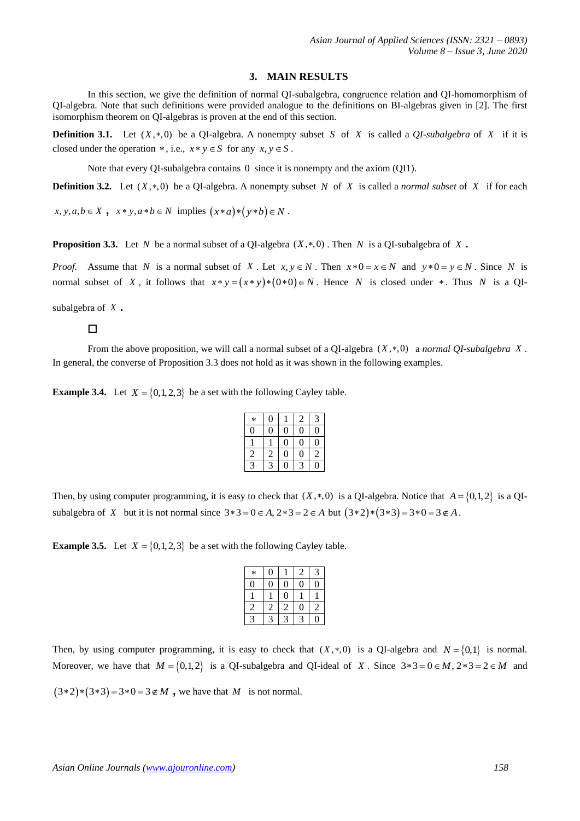### **3. MAIN RESULTS**

In this section, we give the definition of normal QI-subalgebra, congruence relation and QI-homomorphism of QI-algebra. Note that such definitions were provided analogue to the definitions on BI-algebras given in [2]. The first isomorphism theorem on QI-algebras is proven at the end of this section.

**Definition 3.1.** Let  $(X,*,0)$  be a QI-algebra. A nonempty subset S of X is called a *QI-subalgebra* of X if it is closed under the operation  $*$ , i.e.,  $x * y \in S$  for any  $x, y \in S$ .

Note that every QI-subalgebra contains 0 since it is nonempty and the axiom (QI1).

**Definition 3.2.** Let  $(X, *, 0)$  be a QI-algebra. A nonempty subset N of X is called a *normal subset* of X if for each

 $x, y, a, b \in X$ ,  $x * y, a * b \in N$  implies  $(x * a) * (y * b) \in N$ .

**Proposition 3.3.** Let N be a normal subset of a QI-algebra  $(X, *, 0)$ . Then N is a QI-subalgebra of X.

*Proof.* Assume that N is a normal subset of X. Let  $x, y \in N$ . Then  $x * 0 = x \in N$  and  $y * 0 = y \in N$ . Since N is normal subset of X, it follows that  $x * y = (x * y) * (0 * 0) \in N$ . Hence N is closed under  $*$ . Thus N is a QI-

subalgebra of *X* .

## □

From the above proposition, we will call a normal subset of a QI-algebra  $(X, *, 0)$  a *normal QI-subalgebra*  $X$ . In general, the converse of Proposition 3.3 does not hold as it was shown in the following examples.

**Example 3.4.** Let  $X = \{0, 1, 2, 3\}$  be a set with the following Cayley table.

| $\ast$         | $\overline{0}$ |   | 2 | 3              |
|----------------|----------------|---|---|----------------|
| Λ              | $\overline{0}$ | 0 | 0 | $\overline{0}$ |
|                |                | 0 | 0 | 0              |
| $\overline{c}$ | 2              | 0 | 0 | $\overline{c}$ |
| 2              | 3              | 0 | 3 | Ŋ              |

Then, by using computer programming, it is easy to check that  $(X,*,0)$  is a QI-algebra. Notice that  $A = \{0,1,2\}$  is a QIsubalgebra of X but it is not normal since  $3*3 = 0 \in A$ ,  $2*3 = 2 \in A$  but  $(3*2)*(3*3) = 3*0 = 3 \notin A$ .

**Example 3.5.** Let  $X = \{0, 1, 2, 3\}$  be a set with the following Cayley table.

| $\ast$         | $\overline{0}$ |   | 2 | 3              |
|----------------|----------------|---|---|----------------|
| 0              | 0              | Λ | 0 | በ              |
|                |                | 0 |   |                |
| $\overline{2}$ | 2              | 2 | 0 | $\overline{c}$ |
| ٠              | 2              |   | 2 |                |

Then, by using computer programming, it is easy to check that  $(X, *0)$  is a QI-algebra and  $N = \{0,1\}$  is normal. Moreover, we have that  $M = \{0, 1, 2\}$  is a QI-subalgebra and QI-ideal of X. Since  $3*3 = 0 \in M$ ,  $2*3 = 2 \in M$  and

 $(3 \times 2) * (3 \times 3) = 3 * 0 = 3 \notin M$ , we have that M is not normal.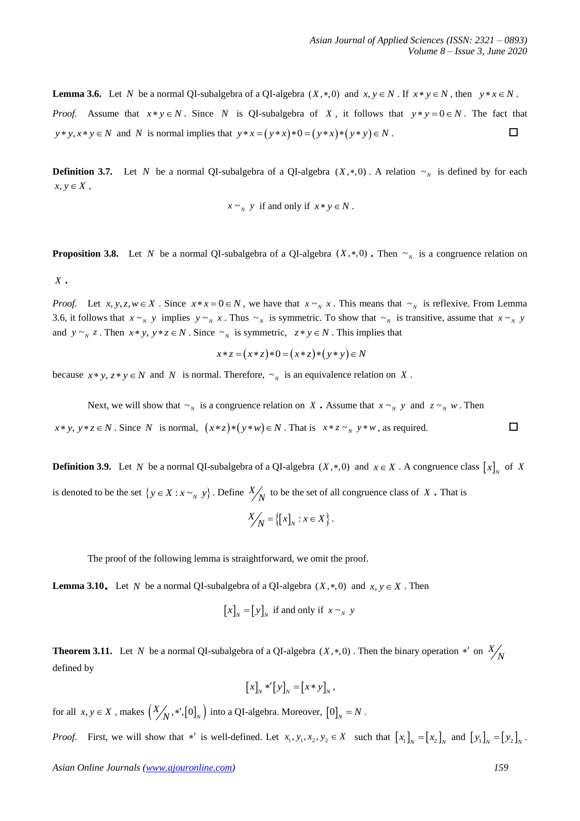**Lemma 3.6.** Let N be a normal QI-subalgebra of a QI-algebra  $(X,*,0)$  and  $x, y \in N$ . If  $x * y \in N$ , then  $y * x \in N$ . *Proof.* Assume that  $x * y \in N$ . Since N is QI-subalgebra of X, it follows that  $y * y = 0 \in N$ . The fact that  $y * y, x * y \in N$  and *N* is normal implies that  $y * x = (y * x) * 0 = (y * x) * (y * y) \in N$ .

**Definition 3.7.** Let N be a normal QI-subalgebra of a QI-algebra  $(X, *, 0)$ . A relation  $\sim_N$  is defined by for each  $x, y \in X$ ,

$$
x \sim_{N} y
$$
 if and only if  $x * y \in N$ .

**Proposition 3.8.** Let N be a normal QI-subalgebra of a QI-algebra  $(X, *, 0)$ . Then  $\sim_N$  is a congruence relation on *X* .

*Proof.* Let  $x, y, z, w \in X$ . Since  $x * x = 0 \in N$ , we have that  $x \sim N x$ . This means that  $\sim N$  is reflexive. From Lemma 3.6, it follows that  $x \sim_N y$  implies  $y \sim_N x$ . Thus  $\sim_N$  is symmetric. To show that  $\sim_N y$  is transitive, assume that  $x \sim_N y$ and  $y \sim_{N} z$ . Then  $x * y$ ,  $y * z \in N$ . Since  $\sim_{N}$  is symmetric,  $z * y \in N$ . This implies that

$$
x * z = (x * z) * 0 = (x * z) * (y * y) \in N
$$

because  $x * y$ ,  $z * y \in N$  and N is normal. Therefore,  $\sim_N$  is an equivalence relation on X.

Next, we will show that  $\sim_N$  is a congruence relation on X. Assume that  $x \sim_N y$  and  $z \sim_N w$ . Then  $x * y, y * z \in N$ . Since N is normal,  $(x * z) * (y * w) \in N$ . That is  $x * z \sim_N y * w$ , as required.  $\square$ 

**Definition 3.9.** Let N be a normal QI-subalgebra of a QI-algebra  $(X, *, 0)$  and  $x \in X$ . A congruence class  $[x]_N$  of X is denoted to be the set  $\{y \in X : x \sim_N y\}$ . Define  $X/N$  to be the set of all congruence class of X. That is

$$
X'_{N} = \{ [x]_{N} : x \in X \}.
$$

The proof of the following lemma is straightforward, we omit the proof.

**Lemma 3.10.** Let N be a normal QI-subalgebra of a QI-algebra  $(X, *, 0)$  and  $x, y \in X$ . Then

$$
[x]_{N} = [y]_{N}
$$
 if and only if  $x \sim_{N} y$ 

**Theorem 3.11.** Let N be a normal QI-subalgebra of a QI-algebra  $(X, *, 0)$ . Then the binary operation  $*'$  on  $\frac{X}{N}$ defined by

$$
[x]_N *'[y]_N = [x * y]_N,
$$

for all  $x, y \in X$  , makes  $\left(\frac{X}{N}, \ast', [0]_N\right)$  into a QI-algebra. Moreover,  $[0]_N = N$  .

*Proof.* First, we will show that \*' is well-defined. Let  $x_1, y_1, x_2, y_2 \in X$  such that  $\begin{bmatrix} x_1 \end{bmatrix}_N = \begin{bmatrix} x_2 \end{bmatrix}_N$  and  $\begin{bmatrix} y_1 \end{bmatrix}_N = \begin{bmatrix} y_2 \end{bmatrix}_N$ .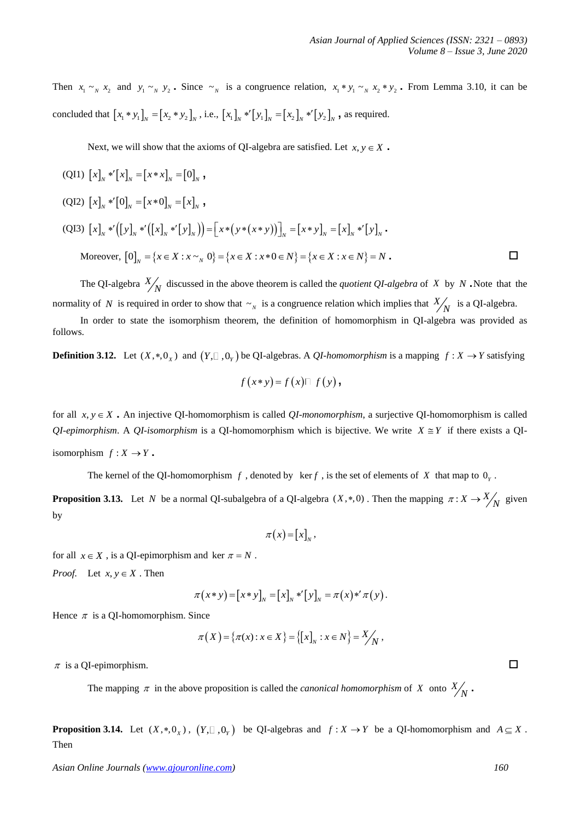Then  $x_1 \sim_N x_2$  and  $y_1 \sim_N y_2$ . Since  $\sim_N$  is a congruence relation,  $x_1 * y_1 \sim_N x_2 * y_2$ . From Lemma 3.10, it can be concluded that  $[x_1 * y_1]_N = [x_2 * y_2]_N$ , i.e.,  $[x_1]_N * [y_1]_N = [x_2]_N * [y_2]_N$ , as required.

Next, we will show that the axioms of QI-algebra are satisfied. Let  $x, y \in X$ .

$$
\begin{aligned}\n\text{(QI1)} \ [x]_N \ast^r [x]_N &= [x \ast x]_N = [0]_N \,, \\
\text{(QI2)} \ [x]_N \ast^r [0]_N &= [x \ast 0]_N = [x]_N \,, \\
\text{(QI3)} \ [x]_N \ast^r \big( [y]_N \ast^r \big( [x]_N \ast^r [y]_N \big) \big) &= \big[ x \ast (y \ast (x \ast y)) \big]_N = [x \ast y]_N = [x]_N \ast^r [y]_N \,. \\
\text{Moreover, } [0]_N &= \{ x \in X : x \sim_N 0 \} = \{ x \in X : x \ast 0 \in N \} = \{ x \in X : x \in N \} = N \,. \end{aligned}
$$

The QI-algebra  $X'_{N}$  discussed in the above theorem is called the *quotient QI-algebra* of X by N. Note that the normality of N is required in order to show that  $\sim_N$  is a congruence relation which implies that  $X_{N}$  is a QI-algebra.

In order to state the isomorphism theorem, the definition of homomorphism in QI-algebra was provided as follows.

**Definition 3.12.** Let  $(X,*,0_X)$  and  $(Y, \square, 0_Y)$  be QI-algebras. A *QI-homomorphism* is a mapping  $f: X \to Y$  satisfying

$$
f(x*y)=f(x)\square f(y),
$$

for all  $x, y \in X$ . An injective QI-homomorphism is called *QI-monomorphism*, a surjective QI-homomorphism is called  $QI$ -epimorphism. A  $QI$ -isomorphism is a  $QI$ -homomorphism which is bijective. We write  $X \cong Y$  if there exists a  $QI$ isomorphism  $f: X \to Y$ .

The kernel of the QI-homomorphism  $f$ , denoted by  $\ker f$ , is the set of elements of  $X$  that map to  $0<sub>y</sub>$ .

**Proposition 3.13.** Let N be a normal QI-subalgebra of a QI-algebra  $(X,*,0)$ . Then the mapping  $\pi: X \to \frac{X}{N}$  given by

$$
\pi(x) = [x]_N,
$$

for all  $x \in X$ , is a QI-epimorphism and ker  $\pi = N$ .

*Proof.* Let  $x, y \in X$ . Then

$$
\pi(x*y) = [x*y]_N = [x]_N *'[y]_N = \pi(x)*'\pi(y).
$$

Hence  $\pi$  is a QI-homomorphism. Since

$$
\pi(X) = \{\pi(x) : x \in X\} = \{ [x]_N : x \in N \} = \frac{X}{N},
$$

 $\pi$  is a QI-epimorphism.  $\square$ 

The mapping  $\pi$  in the above proposition is called the *canonical homomorphism* of X onto  $X_N$ .

**Proposition 3.14.** Let  $(X, *, 0_X)$ ,  $(Y, \square, 0_Y)$  be QI-algebras and  $f : X \to Y$  be a QI-homomorphism and  $A \subseteq X$ . Then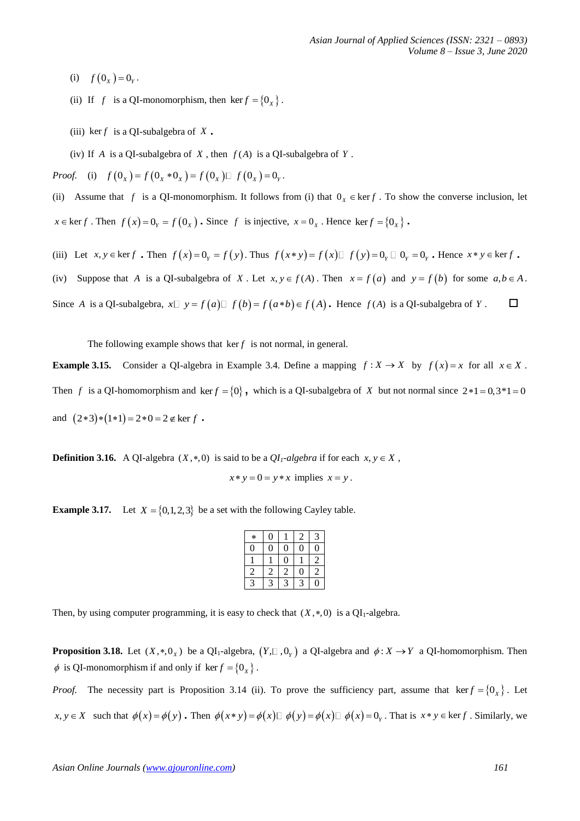- (i)  $f(0_x) = 0_y$ .
- (ii) If f is a QI-monomorphism, then  $\text{ker } f = \{0_x\}$ .
- (iii)  $\ker f$  is a QI-subalgebra of X.
- (iv) If A is a QI-subalgebra of X, then  $f(A)$  is a QI-subalgebra of Y.

*Proof.* (i)  $f(0_x) = f(0_x * 0_x) = f(0_x) \Box f(0_x) = 0_y$ .

(ii) Assume that f is a QI-monomorphism. It follows from (i) that  $0_x \in \text{ker } f$ . To show the converse inclusion, let  $x \in \text{ker } f$ . Then  $f(x) = 0$ <sub>*Y*</sub> =  $f(0_x)$ . Since *f* is injective,  $x = 0$ <sub>*x*</sub>. Hence  $\text{ker } f = \{0_x\}$ .

- (iii) Let  $x, y \in \text{ker } f$ . Then  $f(x) = 0$ ,  $f(y)$ . Thus  $f(x * y) = f(x) \Box f(y) = 0$ ,  $\Box 0$ ,  $f(y) = 0$ , Hence  $x * y \in \text{ker } f$ .
- (iv) Suppose that A is a QI-subalgebra of X. Let  $x, y \in f(A)$ . Then  $x = f(a)$  and  $y = f(b)$  for some  $a, b \in A$ .

Since A is a QI-subalgebra,  $x \Box y = f(a) \Box f(b) = f(a * b) \in f(A)$ . Hence  $f(A)$  is a QI-subalgebra of Y.

The following example shows that  $\ker f$  is not normal, in general.

**Example 3.15.** Consider a QI-algebra in Example 3.4. Define a mapping  $f: X \to X$  by  $f(x) = x$  for all  $x \in X$ . Then f is a QI-homomorphism and  $\ker f = \{0\}$ , which is a QI-subalgebra of X but not normal since  $2 \times 1 = 0,3 \times 1 = 0$ and  $(2*3)*(1*1) = 2*0 = 2 \notin \text{ker } f$ .

**Definition 3.16.** A QI-algebra  $(X, *0)$  is said to be a  $QI_1$ -algebra if for each  $x, y \in X$ ,

 $x * y = 0 = y * x$  implies  $x = y$ .

**Example 3.17.** Let  $X = \{0, 1, 2, 3\}$  be a set with the following Cayley table.

| $\ast$         | $\boldsymbol{0}$ |                | $\overline{c}$   | 3              |
|----------------|------------------|----------------|------------------|----------------|
| 0              | $\overline{0}$   | $\overline{0}$ | $\overline{0}$   | 0              |
|                |                  | $\overline{0}$ |                  | $\overline{c}$ |
| 2              | $\overline{c}$   | $\overline{c}$ | $\boldsymbol{0}$ | 2              |
| $\overline{3}$ | $\overline{a}$   | $\overline{a}$ | $\overline{a}$   | 0              |

Then, by using computer programming, it is easy to check that  $(X, *, 0)$  is a  $QI_1$ -algebra.

**Proposition 3.18.** Let  $(X, *, 0_X)$  be a QI<sub>1</sub>-algebra,  $(Y, \Box, 0_Y)$  a QI-algebra and  $\phi: X \to Y$  a QI-homomorphism. Then  $\phi$  is QI-monomorphism if and only if  $\ker f = \{0_x\}$ .

*Proof.* The necessity part is Proposition 3.14 (ii). To prove the sufficiency part, assume that  $\ker f = \{0_x\}$ . Let  $x, y \in X$  such that  $\phi(x) = \phi(y)$ . Then  $\phi(x * y) = \phi(x) \Box \phi(y) = \phi(x) \Box \phi(x) = 0$ . That is  $x * y \in \text{ker } f$ . Similarly, we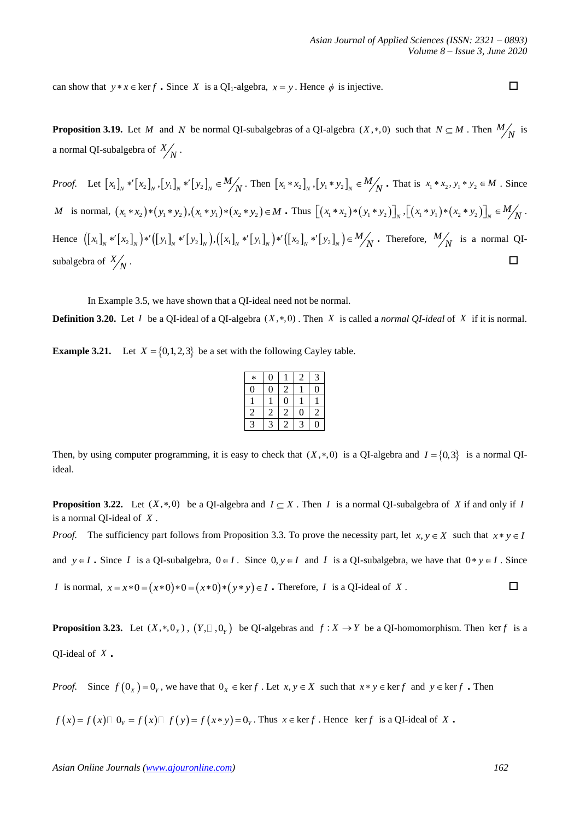can show that  $y * x \in \text{ker } f$ . Since X is a QI<sub>1</sub>-algebra,  $x = y$ . Hence  $\phi$  is injective.

**Proposition 3.19.** Let M and N be normal QI-subalgebras of a QI-algebra  $(X, *, 0)$  such that  $N \subseteq M$ . Then  $M_N$  is a normal QI-subalgebra of  $\frac{X}{N}$ .

*Proof.* Let  $[x_1]_N * [x_2]_N$ ,  $[y_1]_N * [y_2]_N \in M_N$ . Then  $[x_1 * x_2]_N$ ,  $[y_1 * y_2]_N \in M_N$ . That is  $x_1 * x_2, y_1 * y_2 \in M$ . Since M is normal,  $(x_1 * x_2) * (y_1 * y_2)$ ,  $(x_1 * y_1) * (x_2 * y_2) \in M$ . Thus  $[(x_1 * x_2) * (y_1 * y_2)]_N$ ,  $[(x_1 * y_1) * (x_2 * y_2)]_N \in M_N$ . Hence  $([x_1]_N * [x_2]_N) * ([y_1]_N * [y_2]_N)$ ,  $([x_1]_N * [y_1]_N) * ([x_2]_N * [y_2]_N) \in M_N$ . Therefore,  $M_N$  is a normal QIsubalgebra of  $\frac{X}{N}$ . □

In Example 3.5, we have shown that a QI-ideal need not be normal.

**Definition 3.20.** Let I be a QI-ideal of a QI-algebra  $(X, *, 0)$ . Then X is called a *normal QI-ideal* of X if it is normal.

**Example 3.21.** Let  $X = \{0, 1, 2, 3\}$  be a set with the following Cayley table.

| $\ast$         | O |   | 2 | 3 |
|----------------|---|---|---|---|
| 0              |   | 2 |   | 0 |
|                |   | 0 |   |   |
| $\overline{c}$ | 2 | 2 | 0 | 2 |
| 3              | 3 | 2 | P | 0 |

Then, by using computer programming, it is easy to check that  $(X,*,0)$  is a QI-algebra and  $I = \{0,3\}$  is a normal QIideal.

**Proposition 3.22.** Let  $(X,*,0)$  be a QI-algebra and  $I \subseteq X$ . Then *I* is a normal QI-subalgebra of X if and only if *I* is a normal QI-ideal of *<sup>X</sup>* .

*Proof.* The sufficiency part follows from Proposition 3.3. To prove the necessity part, let  $x, y \in X$  such that  $x * y \in I$ 

and  $y \in I$ . Since *I* is a QI-subalgebra,  $0 \in I$ . Since  $0, y \in I$  and *I* is a QI-subalgebra, we have that  $0 * y \in I$ . Since

*I* is normal,  $x = x * 0 = (x * 0) * 0 = (x * 0) * (y * y) \in I$ . Therefore, *I* is a QI-ideal of  $X$  .  $\qquad \qquad \Box$ 

**Proposition 3.23.** Let  $(X,*,0_X)$ ,  $(Y, \square, 0_Y)$  be QI-algebras and  $f: X \to Y$  be a QI-homomorphism. Then kerf is a QI-ideal of *X* .

*Proof.* Since  $f(0_x) = 0_y$ , we have that  $0_x \in \text{ker } f$ . Let  $x, y \in X$  such that  $x * y \in \text{ker } f$  and  $y \in \text{ker } f$ . Then

 $f(x) = f(x) \Box \ O_Y = f(x) \Box \ f(y) = f(x * y) = O_Y$ . Thus  $x \in \text{ker } f$ . Hence  $\text{ker } f$  is a QI-ideal of X.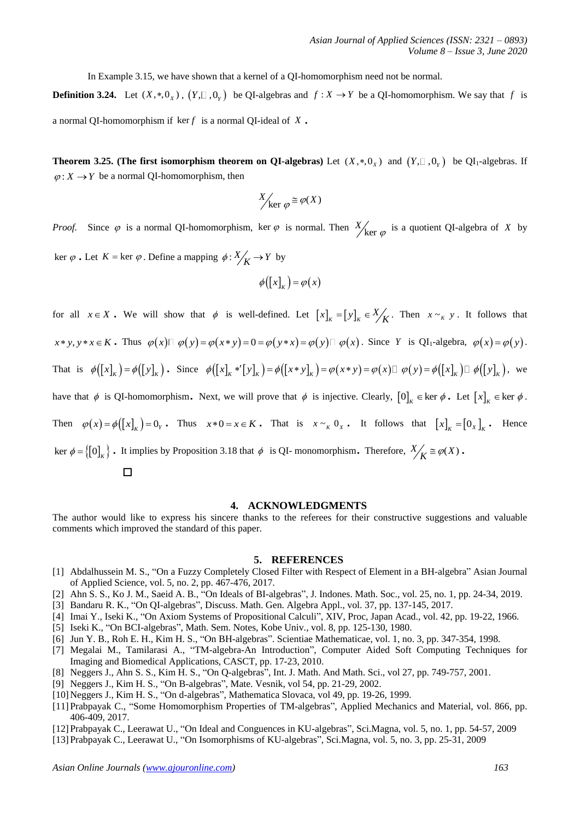In Example 3.15, we have shown that a kernel of a QI-homomorphism need not be normal.

**Definition 3.24.** Let  $(X, *0_X)$ ,  $(Y, \square, 0_Y)$  be QI-algebras and  $f: X \to Y$  be a QI-homomorphism. We say that f is a normal QI-homomorphism if  $\ker f$  is a normal QI-ideal of X.

**Theorem 3.25.** (The first isomorphism theorem on QI-algebras) Let  $(X,*,0_X)$  and  $(Y, \Box, 0_Y)$  be QI<sub>1</sub>-algebras. If  $\varphi: X \to Y$  be a normal QI-homomorphism, then

$$
X/_{\text{ker }\varphi} \cong \varphi(X)
$$

*Proof.*  $\varphi$  is a normal QI-homomorphism, ker  $\varphi$  is normal. Then  $X'_{\text{ker}}$  $\varphi$  is a quotient QI-algebra of X by

 $\ker \varphi$ . Let  $K = \ker \varphi$ . Define a mapping  $\varphi: X \rightarrow Y$  by

$$
\phi([x]_K) = \varphi(x)
$$

for all  $x \in X$ . We will show that  $\phi$  is well-defined. Let  $[x]_k = [y]_k \in \frac{X}{K}$ . Then  $x \sim_k y$ . It follows that  $x * y, y * x \in K$ . Thus  $\varphi(x) \square \varphi(y) = \varphi(x * y) = 0 = \varphi(y * x) = \varphi(y) \square \varphi(x)$ . Since Y is QI<sub>1</sub>-algebra,  $\varphi(x) = \varphi(y)$ .  $x * y, y * x \in K$ . Thus  $\varphi(x) \square \varphi(y) = \varphi(x * y) = 0 = \varphi(y * x) = \varphi(y) \square \varphi(x)$ . Since Y is QI<sub>1</sub>-algebra,  $\varphi(x) = \varphi(y)$ .<br>That is  $\varphi([x]_k) = \varphi([y]_k)$ . Since  $\varphi([x]_k * [y]_k) = \varphi([x * y]_k) = \varphi(x * y) = \varphi(x) \square \varphi(y) = \varphi([x]_k) \square \varphi([y]_k)$ , we have that  $\phi$  is QI-homomorphism. Next, we will prove that  $\phi$  is injective. Clearly,  $[0]_k \in \text{ker } \phi$ . Let  $[x]_k \in \text{ker } \phi$ . Then  $\varphi(x) = \varphi([x]_K) = 0$  and  $x * 0 = x \in K$ . That is  $x \sim_K 0$  is the follows that  $[x]_K = [0]_K$ . Hence ker  $\phi = \{ [0]_K \}$ . It implies by Proposition 3.18 that  $\phi$  is QI-monomorphism. Therefore,  $X'_{\mathbf{K}} \equiv \phi(X)$ .

# □

## **4. ACKNOWLEDGMENTS**

The author would like to express his sincere thanks to the referees for their constructive suggestions and valuable comments which improved the standard of this paper.

## **5. REFERENCES**

- [1] Abdalhussein M. S., "On a Fuzzy Completely Closed Filter with Respect of Element in a BH-algebra" Asian Journal of Applied Science, vol. 5, no. 2, pp. 467-476, 2017.
- [2] Ahn S. S., Ko J. M., Saeid A. B., "On Ideals of BI-algebras", J. Indones. Math. Soc., vol. 25, no. 1, pp. 24-34, 2019.
- [3] Bandaru R. K., "On QI-algebras", Discuss. Math. Gen. Algebra Appl., vol. 37, pp. 137-145, 2017.
- [4] Imai Y., Iseki K., "On Axiom Systems of Propositional Calculi", XIV, Proc, Japan Acad., vol. 42, pp. 19-22, 1966.
- [5] Iseki K., "On BCI-algebras", Math. Sem. Notes, Kobe Univ., vol. 8, pp. 125-130, 1980.
- [6] Jun Y. B., Roh E. H., Kim H. S., "On BH-algebras". Scientiae Mathematicae, vol. 1, no. 3, pp. 347-354, 1998.
- [7] Megalai M., Tamilarasi A., "TM-algebra-An Introduction", Computer Aided Soft Computing Techniques for Imaging and Biomedical Applications, CASCT, pp. 17-23, 2010.
- [8] Neggers J., Ahn S. S., Kim H. S., "On Q-algebras", Int. J. Math. And Math. Sci., vol 27, pp. 749-757, 2001.
- [9] Neggers J., Kim H. S., "On B-algebras", Mate. Vesnik, vol 54, pp. 21-29, 2002.
- [10]Neggers J., Kim H. S., "On d-algebras", Mathematica Slovaca, vol 49, pp. 19-26, 1999.
- [11]Prabpayak C., "Some Homomorphism Properties of TM-algebras", Applied Mechanics and Material, vol. 866, pp. 406-409, 2017.
- [12]Prabpayak C., Leerawat U., "On Ideal and Conguences in KU-algebras", Sci.Magna, vol. 5, no. 1, pp. 54-57, 2009
- [13]Prabpayak C., Leerawat U., "On Isomorphisms of KU-algebras", Sci.Magna, vol. 5, no. 3, pp. 25-31, 2009